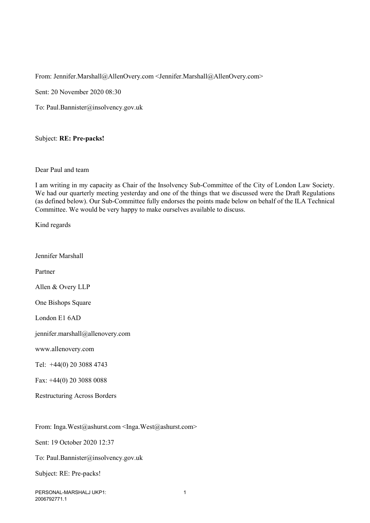From: Jennifer.Marshall@AllenOvery.com <Jennifer.Marshall@AllenOvery.com>

Sent: 20 November 2020 08:30

To: Paul.Bannister@insolvency.gov.uk

## Subject: **RE: Pre-packs!**

## Dear Paul and team

I am writing in my capacity as Chair of the Insolvency Sub-Committee of the City of London Law Society. We had our quarterly meeting yesterday and one of the things that we discussed were the Draft Regulations (as defined below). Our Sub-Committee fully endorses the points made below on behalf of the ILA Technical Committee. We would be very happy to make ourselves available to discuss.

Kind regards

Jennifer Marshall

Partner

Allen & Overy LLP

One Bishops Square

London E1 6AD

jennifer.marshall@allenovery.com

www.allenovery.com

Tel: +44(0) 20 3088 4743

Fax: +44(0) 20 3088 0088

Restructuring Across Borders

From: Inga.West@ashurst.com <Inga.West@ashurst.com>

Sent: 19 October 2020 12:37

To: Paul.Bannister@insolvency.gov.uk

Subject: RE: Pre-packs!

PERSONAL-MARSHALJ UKP1: 2006792771.1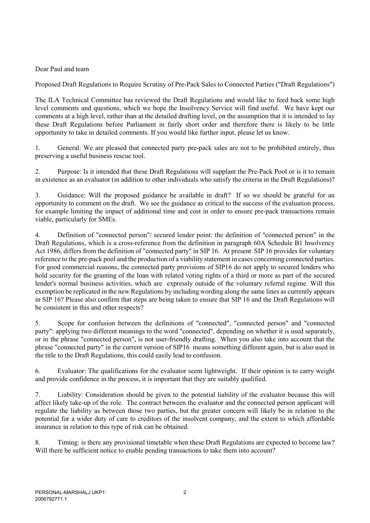Dear Paul and team

Proposed Draft Regulations to Require Scrutiny of Pre-Pack Sales to Connected Parties ("Draft Regulations")

The ILA Technical Committee has reviewed the Draft Regulations and would like to feed back some high level comments and questions, which we hope the Insolvency Service will find useful. We have kept our comments at a high level, rather than at the detailed drafting level, on the assumption that it is intended to lay these Draft Regulations before Parliament in fairly short order and therefore there is likely to be little opportunity to take in detailed comments. If you would like further input, please let us know.

1. General: We are pleased that connected party pre-pack sales are not to be prohibited entirely, thus preserving a useful business rescue tool.

2. Purpose: Is it intended that these Draft Regulations will supplant the Pre-Pack Pool or is it to remain in existence as an evaluator (in addition to other individuals who satisfy the criteria in the Draft Regulations)?

3. Guidance: Will the proposed guidance be available in draft? If so we should be grateful for an opportunity to comment on the draft. We see the guidance as critical to the success of the evaluation process, for example limiting the impact of additional time and cost in order to ensure pre-pack transactions remain viable, particularly for SMEs.

4. Definition of "connected person"/ secured lender point: the definition of "connected person" in the Draft Regulations, which is a cross-reference from the definition in paragraph 60A Schedule B1 Insolvency Act 1986, differs from the definition of "connected party" in SIP 16. At present SIP 16 provides for voluntary reference to the pre-pack pool and the production of a viability statement in cases concerning connected parties. For good commercial reasons, the connected party provisions of SIP16 do not apply to secured lenders who hold security for the granting of the loan with related voting rights of a third or more as part of the secured lender's normal business activities, which are expressly outside of the voluntary referral regime. Will this exemption be replicated in the new Regulations by including wording along the same lines as currently appears in SIP 16? Please also confirm that steps are being taken to ensure that SIP 16 and the Draft Regulations will be consistent in this and other respects?

5. Scope for confusion between the definitions of "connected", "connected person" and "connected party": applying two different meanings to the word "connected", depending on whether it is used separately, or in the phrase "connected person", is not user-friendly drafting. When you also take into account that the phrase "connected party" in the current version of SIP16 means something different again, but is also used in the title to the Draft Regulations, this could easily lead to confusion.

6. Evaluator: The qualifications for the evaluator seem lightweight. If their opinion is to carry weight and provide confidence in the process, it is important that they are suitably qualified.

7. Liability: Consideration should be given to the potential liability of the evaluator because this will affect likely take-up of the role. The contract between the evaluator and the connected person applicant will regulate the liability as between those two parties, but the greater concern will likely be in relation to the potential for a wider duty of care to creditors of the insolvent company, and the extent to which affordable insurance in relation to this type of risk can be obtained.

8. Timing: is there any provisional timetable when these Draft Regulations are expected to become law? Will there be sufficient notice to enable pending transactions to take them into account?